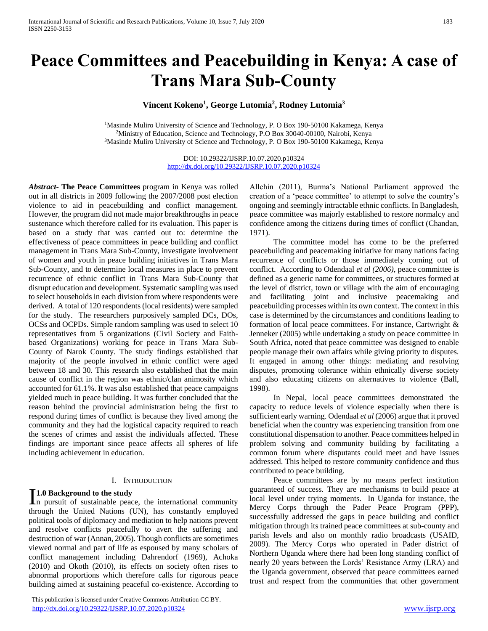# **Peace Committees and Peacebuilding in Kenya: A case of Trans Mara Sub-County**

# **Vincent Kokeno<sup>1</sup> , George Lutomia<sup>2</sup> , Rodney Lutomia<sup>3</sup>**

<sup>1</sup>Masinde Muliro University of Science and Technology, P. O Box 190-50100 Kakamega, Kenya <sup>2</sup>Ministry of Education, Science and Technology, P.O Box 30040-00100, Nairobi, Kenya <sup>3</sup>Masinde Muliro University of Science and Technology, P. O Box 190-50100 Kakamega, Kenya

> DOI: 10.29322/IJSRP.10.07.2020.p10324 <http://dx.doi.org/10.29322/IJSRP.10.07.2020.p10324>

*Abstract***- The Peace Committees** program in Kenya was rolled out in all districts in 2009 following the 2007/2008 post election violence to aid in peacebuilding and conflict management. However, the program did not made major breakthroughs in peace sustenance which therefore called for its evaluation. This paper is based on a study that was carried out to: determine the effectiveness of peace committees in peace building and conflict management in Trans Mara Sub-County, investigate involvement of women and youth in peace building initiatives in Trans Mara Sub-County, and to determine local measures in place to prevent recurrence of ethnic conflict in Trans Mara Sub-County that disrupt education and development. Systematic sampling was used to select households in each division from where respondents were derived. A total of 120 respondents (local residents) were sampled for the study. The researchers purposively sampled DCs, DOs, OCSs and OCPDs. Simple random sampling was used to select 10 representatives from 5 organizations (Civil Society and Faithbased Organizations) working for peace in Trans Mara Sub-County of Narok County. The study findings established that majority of the people involved in ethnic conflict were aged between 18 and 30. This research also established that the main cause of conflict in the region was ethnic/clan animosity which accounted for 61.1%. It was also established that peace campaigns yielded much in peace building. It was further concluded that the reason behind the provincial administration being the first to respond during times of conflict is because they lived among the community and they had the logistical capacity required to reach the scenes of crimes and assist the individuals affected. These findings are important since peace affects all spheres of life including achievement in education.

#### I. INTRODUCTION

# **1.0 Background to the study**

**I.0 Background to the study**<br>In pursuit of sustainable peace, the international community through the United Nations (UN), has constantly employed political tools of diplomacy and mediation to help nations prevent and resolve conflicts peacefully to avert the suffering and destruction of war (Annan, 2005). Though conflicts are sometimes viewed normal and part of life as espoused by many scholars of conflict management including Dahrendorf (1969), Achoka (2010) and Okoth (2010), its effects on society often rises to abnormal proportions which therefore calls for rigorous peace building aimed at sustaining peaceful co-existence. According to

 This publication is licensed under Creative Commons Attribution CC BY. <http://dx.doi.org/10.29322/IJSRP.10.07.2020.p10324> [www.ijsrp.org](http://ijsrp.org/)

Allchin (2011), Burma's National Parliament approved the creation of a 'peace committee' to attempt to solve the country's ongoing and seemingly intractable ethnic conflicts. In Bangladesh, peace committee was majorly established to restore normalcy and confidence among the citizens during times of conflict (Chandan, 1971).

 The committee model has come to be the preferred peacebuilding and peacemaking initiative for many nations facing recurrence of conflicts or those immediately coming out of conflict. According to Odendaal *et al (2006)*, peace committee is defined as a generic name for committees, or structures formed at the level of district, town or village with the aim of encouraging and facilitating joint and inclusive peacemaking and peacebuilding processes within its own context. The context in this case is determined by the circumstances and conditions leading to formation of local peace committees. For instance, Cartwright & Jenneker (2005) while undertaking a study on peace committee in South Africa, noted that peace committee was designed to enable people manage their own affairs while giving priority to disputes. It engaged in among other things: mediating and resolving disputes, promoting tolerance within ethnically diverse society and also educating citizens on alternatives to violence (Ball, 1998).

 In Nepal, local peace committees demonstrated the capacity to reduce levels of violence especially when there is sufficient early warning. Odendaal *et al* (2006) argue that it proved beneficial when the country was experiencing transition from one constitutional dispensation to another. Peace committees helped in problem solving and community building by facilitating a common forum where disputants could meet and have issues addressed. This helped to restore community confidence and thus contributed to peace building.

 Peace committees are by no means perfect institution guaranteed of success. They are mechanisms to build peace at local level under trying moments. In Uganda for instance, the Mercy Corps through the Pader Peace Program (PPP), successfully addressed the gaps in peace building and conflict mitigation through its trained peace committees at sub-county and parish levels and also on monthly radio broadcasts (USAID, 2009). The Mercy Corps who operated in Pader district of Northern Uganda where there had been long standing conflict of nearly 20 years between the Lords' Resistance Army (LRA) and the Uganda government, observed that peace committees earned trust and respect from the communities that other government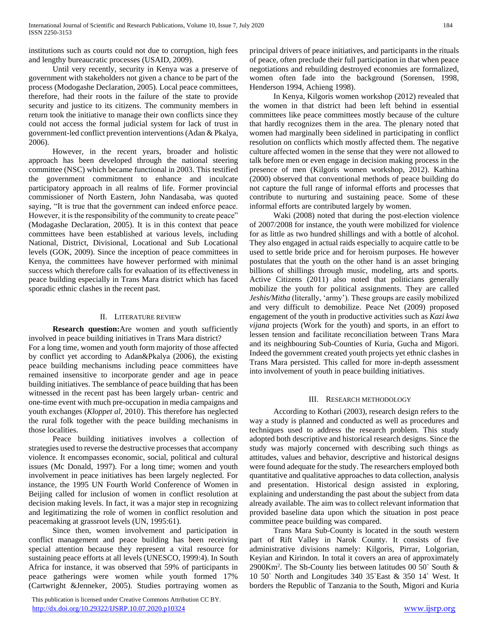institutions such as courts could not due to corruption, high fees and lengthy bureaucratic processes (USAID, 2009).

 Until very recently, security in Kenya was a preserve of government with stakeholders not given a chance to be part of the process (Modogashe Declaration, 2005). Local peace committees, therefore, had their roots in the failure of the state to provide security and justice to its citizens. The community members in return took the initiative to manage their own conflicts since they could not access the formal judicial system for lack of trust in government-led conflict prevention interventions (Adan & Pkalya, 2006).

 However, in the recent years, broader and holistic approach has been developed through the national steering committee (NSC) which became functional in 2003. This testified the government commitment to enhance and inculcate participatory approach in all realms of life. Former provincial commissioner of North Eastern, John Nandasaba, was quoted saying, "It is true that the government can indeed enforce peace. However, it is the responsibility of the community to create peace" (Modagashe Declaration, 2005). It is in this context that peace committees have been established at various levels, including National, District, Divisional, Locational and Sub Locational levels (GOK, 2009). Since the inception of peace committees in Kenya, the committees have however performed with minimal success which therefore calls for evaluation of its effectiveness in peace building especially in Trans Mara district which has faced sporadic ethnic clashes in the recent past.

# II. LITERATURE REVIEW

 **Research question:**Are women and youth sufficiently involved in peace building initiatives in Trans Mara district? For a long time, women and youth form majority of those affected by conflict yet according to Adan&Pkalya (2006), the existing peace building mechanisms including peace committees have remained insensitive to incorporate gender and age in peace building initiatives. The semblance of peace building that has been witnessed in the recent past has been largely urban- centric and one-time event with much pre-occupation in media campaigns and youth exchanges (*Kloppet al*, 2010). This therefore has neglected the rural folk together with the peace building mechanisms in those localities.

 Peace building initiatives involves a collection of strategies used to reverse the destructive processes that accompany violence. It encompasses economic, social, political and cultural issues (Mc Donald, 1997). For a long time; women and youth involvement in peace initiatives has been largely neglected. For instance, the 1995 UN Fourth World Conference of Women in Beijing called for inclusion of women in conflict resolution at decision making levels. In fact, it was a major step in recognizing and legitimatizing the role of women in conflict resolution and peacemaking at grassroot levels (UN, 1995:61).

 Since then, women involvement and participation in conflict management and peace building has been receiving special attention because they represent a vital resource for sustaining peace efforts at all levels (UNESCO, 1999:4). In South Africa for instance, it was observed that 59% of participants in peace gatherings were women while youth formed 17% (Cartwright &Jenneker, 2005). Studies portraying women as

 This publication is licensed under Creative Commons Attribution CC BY. http://dx.doi<u>.org/10.29322/IJSRP.10.07.2020.p10324</u> [www.ijsrp.org](http://ijsrp.org/)

principal drivers of peace initiatives, and participants in the rituals of peace, often preclude their full participation in that when peace negotiations and rebuilding destroyed economies are formalized, women often fade into the background (Sorensen, 1998, Henderson 1994, Achieng 1998).

 In Kenya, Kilgoris women workshop (2012) revealed that the women in that district had been left behind in essential committees like peace committees mostly because of the culture that hardly recognizes them in the area. The plenary noted that women had marginally been sidelined in participating in conflict resolution on conflicts which mostly affected them. The negative culture affected women in the sense that they were not allowed to talk before men or even engage in decision making process in the presence of men (Kilgoris women workshop, 2012). Kathina (2000) observed that conventional methods of peace building do not capture the full range of informal efforts and processes that contribute to nurturing and sustaining peace. Some of these informal efforts are contributed largely by women.

 Waki (2008) noted that during the post-election violence of 2007/2008 for instance, the youth were mobilized for violence for as little as two hundred shillings and with a bottle of alcohol. They also engaged in actual raids especially to acquire cattle to be used to settle bride price and for heroism purposes. He however postulates that the youth on the other hand is an asset bringing billions of shillings through music, modeling, arts and sports. Active Citizens (2011) also noted that politicians generally mobilize the youth for political assignments. They are called *Jeshis/Mitha* (literally, 'army'). These groups are easily mobilized and very difficult to demobilize. Peace Net (2009) proposed engagement of the youth in productive activities such as *Kazi kwa vijana* projects (Work for the youth) and sports, in an effort to lessen tension and facilitate reconciliation between Trans Mara and its neighbouring Sub-Counties of Kuria, Gucha and Migori. Indeed the government created youth projects yet ethnic clashes in Trans Mara persisted. This called for more in-depth assessment into involvement of youth in peace building initiatives.

# III. RESEARCH METHODOLOGY

 According to Kothari (2003), research design refers to the way a study is planned and conducted as well as procedures and techniques used to address the research problem. This study adopted both descriptive and historical research designs. Since the study was majorly concerned with describing such things as attitudes, values and behavior, descriptive and historical designs were found adequate for the study. The researchers employed both quantitative and qualitative approaches to data collection, analysis and presentation. Historical design assisted in exploring, explaining and understanding the past about the subject from data already available. The aim was to collect relevant information that provided baseline data upon which the situation in post peace committee peace building was compared.

 Trans Mara Sub-County is located in the south western part of Rift Valley in Narok County. It consists of five administrative divisions namely: Kilgoris, Pirrar, Lolgorian, Keyian and Kirindon. In total it covers an area of approximately 2900Km<sup>2</sup> . The Sb-County lies between latitudes 00 50` South & 10 50` North and Longitudes 340 35`East & 350 14` West. It borders the Republic of Tanzania to the South, Migori and Kuria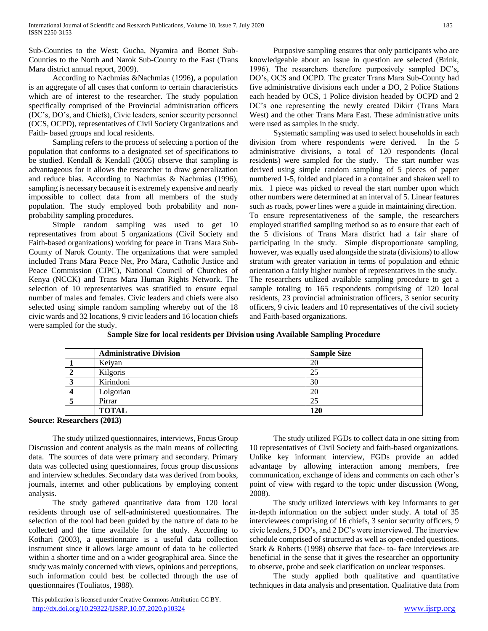Sub-Counties to the West; Gucha, Nyamira and Bomet Sub-Counties to the North and Narok Sub-County to the East (Trans Mara district annual report, 2009).

 According to Nachmias &Nachmias (1996), a population is an aggregate of all cases that conform to certain characteristics which are of interest to the researcher. The study population specifically comprised of the Provincial administration officers (DC's, DO's, and Chiefs), Civic leaders, senior security personnel (OCS, OCPD), representatives of Civil Society Organizations and Faith- based groups and local residents.

 Sampling refers to the process of selecting a portion of the population that conforms to a designated set of specifications to be studied. Kendall & Kendall (2005) observe that sampling is advantageous for it allows the researcher to draw generalization and reduce bias. According to Nachmias & Nachmias (1996), sampling is necessary because it is extremely expensive and nearly impossible to collect data from all members of the study population. The study employed both probability and nonprobability sampling procedures.

 Simple random sampling was used to get 10 representatives from about 5 organizations (Civil Society and Faith-based organizations) working for peace in Trans Mara Sub-County of Narok County. The organizations that were sampled included Trans Mara Peace Net, Pro Mara, Catholic Justice and Peace Commission (CJPC), National Council of Churches of Kenya (NCCK) and Trans Mara Human Rights Network. The selection of 10 representatives was stratified to ensure equal number of males and females. Civic leaders and chiefs were also selected using simple random sampling whereby out of the 18 civic wards and 32 locations, 9 civic leaders and 16 location chiefs were sampled for the study.

 Purposive sampling ensures that only participants who are knowledgeable about an issue in question are selected (Brink, 1996). The researchers therefore purposively sampled DC's, DO's, OCS and OCPD. The greater Trans Mara Sub-County had five administrative divisions each under a DO, 2 Police Stations each headed by OCS, 1 Police division headed by OCPD and 2 DC's one representing the newly created Dikirr (Trans Mara West) and the other Trans Mara East. These administrative units were used as samples in the study.

 Systematic sampling was used to select households in each division from where respondents were derived. In the 5 administrative divisions, a total of 120 respondents (local residents) were sampled for the study. The start number was derived using simple random sampling of 5 pieces of paper numbered 1-5, folded and placed in a container and shaken well to mix. 1 piece was picked to reveal the start number upon which other numbers were determined at an interval of 5. Linear features such as roads, power lines were a guide in maintaining direction. To ensure representativeness of the sample, the researchers employed stratified sampling method so as to ensure that each of the 5 divisions of Trans Mara district had a fair share of participating in the study. Simple disproportionate sampling, however, was equally used alongside the strata (divisions) to allow stratum with greater variation in terms of population and ethnic orientation a fairly higher number of representatives in the study. The researchers utilized available sampling procedure to get a sample totaling to 165 respondents comprising of 120 local residents, 23 provincial administration officers, 3 senior security officers, 9 civic leaders and 10 representatives of the civil society and Faith-based organizations.

**Sample Size for local residents per Division using Available Sampling Procedure**

| <b>Administrative Division</b> | <b>Sample Size</b> |
|--------------------------------|--------------------|
| Keiyan                         | 20                 |
| Kilgoris                       | 25                 |
| Kirindoni                      | 30                 |
| Lolgorian                      | 20                 |
| Pirrar                         | 25                 |
| <b>TOTAL</b>                   | 120                |

# **Source: Researchers (2013)**

 The study utilized questionnaires, interviews, Focus Group Discussion and content analysis as the main means of collecting data. The sources of data were primary and secondary. Primary data was collected using questionnaires, focus group discussions and interview schedules. Secondary data was derived from books, journals, internet and other publications by employing content analysis.

 The study gathered quantitative data from 120 local residents through use of self-administered questionnaires. The selection of the tool had been guided by the nature of data to be collected and the time available for the study. According to Kothari (2003), a questionnaire is a useful data collection instrument since it allows large amount of data to be collected within a shorter time and on a wider geographical area. Since the study was mainly concerned with views, opinions and perceptions, such information could best be collected through the use of questionnaires (Touliatos, 1988).

 The study utilized FGDs to collect data in one sitting from 10 representatives of Civil Society and faith-based organizations. Unlike key informant interview, FGDs provide an added advantage by allowing interaction among members, free communication, exchange of ideas and comments on each other's point of view with regard to the topic under discussion (Wong, 2008).

 The study utilized interviews with key informants to get in-depth information on the subject under study. A total of 35 interviewees comprising of 16 chiefs, 3 senior security officers, 9 civic leaders, 5 DO's, and 2 DC's were interviewed. The interview schedule comprised of structured as well as open-ended questions. Stark & Roberts (1998) observe that face- to- face interviews are beneficial in the sense that it gives the researcher an opportunity to observe, probe and seek clarification on unclear responses.

 The study applied both qualitative and quantitative techniques in data analysis and presentation. Qualitative data from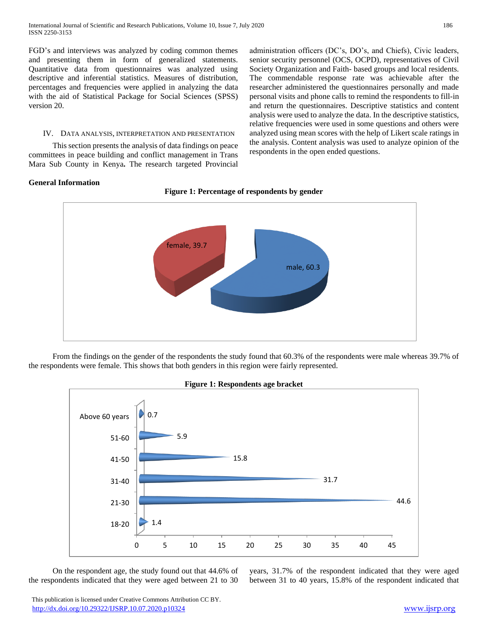FGD's and interviews was analyzed by coding common themes and presenting them in form of generalized statements. Quantitative data from questionnaires was analyzed using descriptive and inferential statistics. Measures of distribution, percentages and frequencies were applied in analyzing the data with the aid of Statistical Package for Social Sciences (SPSS) version 20.

#### IV. DATA ANALYSIS, INTERPRETATION AND PRESENTATION

 This section presents the analysis of data findings on peace committees in peace building and conflict management in Trans Mara Sub County in Kenya**.** The research targeted Provincial

administration officers (DC's, DO's, and Chiefs), Civic leaders, senior security personnel (OCS, OCPD), representatives of Civil Society Organization and Faith- based groups and local residents. The commendable response rate was achievable after the researcher administered the questionnaires personally and made personal visits and phone calls to remind the respondents to fill-in and return the questionnaires. Descriptive statistics and content analysis were used to analyze the data. In the descriptive statistics, relative frequencies were used in some questions and others were analyzed using mean scores with the help of Likert scale ratings in the analysis. Content analysis was used to analyze opinion of the respondents in the open ended questions.

# **General Information**



 From the findings on the gender of the respondents the study found that 60.3% of the respondents were male whereas 39.7% of the respondents were female. This shows that both genders in this region were fairly represented.



 On the respondent age, the study found out that 44.6% of the respondents indicated that they were aged between 21 to 30

years, 31.7% of the respondent indicated that they were aged between 31 to 40 years, 15.8% of the respondent indicated that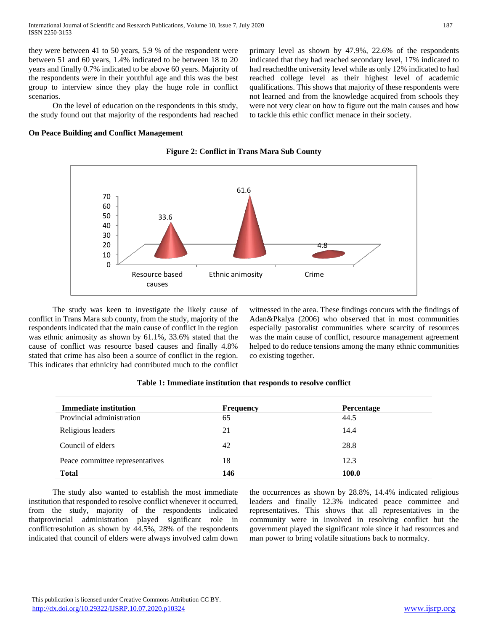they were between 41 to 50 years, 5.9 % of the respondent were between 51 and 60 years, 1.4% indicated to be between 18 to 20 years and finally 0.7% indicated to be above 60 years. Majority of the respondents were in their youthful age and this was the best group to interview since they play the huge role in conflict scenarios.

 On the level of education on the respondents in this study, the study found out that majority of the respondents had reached

**On Peace Building and Conflict Management**

primary level as shown by 47.9%, 22.6% of the respondents indicated that they had reached secondary level, 17% indicated to had reachedthe university level while as only 12% indicated to had reached college level as their highest level of academic qualifications. This shows that majority of these respondents were not learned and from the knowledge acquired from schools they were not very clear on how to figure out the main causes and how to tackle this ethic conflict menace in their society.



**Figure 2: Conflict in Trans Mara Sub County**

 The study was keen to investigate the likely cause of conflict in Trans Mara sub county, from the study, majority of the respondents indicated that the main cause of conflict in the region was ethnic animosity as shown by 61.1%, 33.6% stated that the cause of conflict was resource based causes and finally 4.8% stated that crime has also been a source of conflict in the region. This indicates that ethnicity had contributed much to the conflict witnessed in the area. These findings concurs with the findings of Adan&Pkalya (2006) who observed that in most communities especially pastoralist communities where scarcity of resources was the main cause of conflict, resource management agreement helped to do reduce tensions among the many ethnic communities co existing together.

| <b>Immediate institution</b>    | <b>Frequency</b> | <b>Percentage</b> |  |
|---------------------------------|------------------|-------------------|--|
| Provincial administration       | 65               | 44.5              |  |
| Religious leaders               | 21               | 14.4              |  |
| Council of elders               | 42               | 28.8              |  |
| Peace committee representatives | 18               | 12.3              |  |
| <b>Total</b>                    | 146              | 100.0             |  |

|  | Table 1: Immediate institution that responds to resolve conflict |  |  |  |  |
|--|------------------------------------------------------------------|--|--|--|--|
|  |                                                                  |  |  |  |  |

 The study also wanted to establish the most immediate institution that responded to resolve conflict whenever it occurred, from the study, majority of the respondents indicated thatprovincial administration played significant role in conflictresolution as shown by 44.5%, 28% of the respondents indicated that council of elders were always involved calm down the occurrences as shown by 28.8%, 14.4% indicated religious leaders and finally 12.3% indicated peace committee and representatives. This shows that all representatives in the community were in involved in resolving conflict but the government played the significant role since it had resources and man power to bring volatile situations back to normalcy.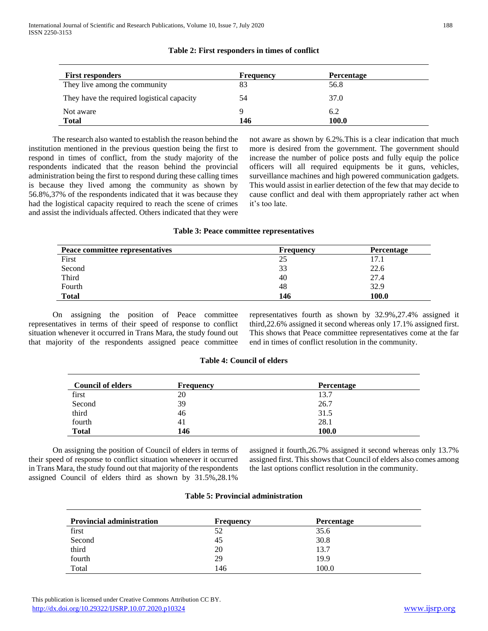| Table 2: First responders in times of conflict |  |  |  |
|------------------------------------------------|--|--|--|
|------------------------------------------------|--|--|--|

| <b>First responders</b>                    | <b>Frequency</b> | <b>Percentage</b> |  |
|--------------------------------------------|------------------|-------------------|--|
| They live among the community              | 83               | 56.8              |  |
| They have the required logistical capacity | 54               | 37.0              |  |
| Not aware                                  |                  | 6.2               |  |
| Total                                      | 146              | 100.0             |  |

 The research also wanted to establish the reason behind the institution mentioned in the previous question being the first to respond in times of conflict, from the study majority of the respondents indicated that the reason behind the provincial administration being the first to respond during these calling times is because they lived among the community as shown by 56.8%,37% of the respondents indicated that it was because they had the logistical capacity required to reach the scene of crimes and assist the individuals affected. Others indicated that they were not aware as shown by 6.2%.This is a clear indication that much more is desired from the government. The government should increase the number of police posts and fully equip the police officers will all required equipments be it guns, vehicles, surveillance machines and high powered communication gadgets. This would assist in earlier detection of the few that may decide to cause conflict and deal with them appropriately rather act when it's too late.

#### **Table 3: Peace committee representatives**

| Peace committee representatives | Frequency | Percentage |
|---------------------------------|-----------|------------|
| First                           | 25        | 17.1       |
| Second                          | 33        | 22.6       |
| Third                           | 40        | 27.4       |
| Fourth                          | 48        | 32.9       |
| <b>Total</b>                    | 146       | 100.0      |

 On assigning the position of Peace committee representatives in terms of their speed of response to conflict situation whenever it occurred in Trans Mara, the study found out that majority of the respondents assigned peace committee representatives fourth as shown by 32.9%,27.4% assigned it third,22.6% assigned it second whereas only 17.1% assigned first. This shows that Peace committee representatives come at the far end in times of conflict resolution in the community.

# **Table 4: Council of elders**

| <b>Council of elders</b> | <b>Frequency</b> | <b>Percentage</b> |  |
|--------------------------|------------------|-------------------|--|
| first                    | 20               | 13.7              |  |
| Second                   | 39               | 26.7              |  |
| third                    | 46               | 31.5              |  |
| fourth                   | 41               | 28.1              |  |
| <b>Total</b>             | 146              | 100.0             |  |

 On assigning the position of Council of elders in terms of their speed of response to conflict situation whenever it occurred in Trans Mara, the study found out that majority of the respondents assigned Council of elders third as shown by 31.5%,28.1%

assigned it fourth,26.7% assigned it second whereas only 13.7% assigned first. This shows that Council of elders also comes among the last options conflict resolution in the community.

|  |  | <b>Table 5: Provincial administration</b> |
|--|--|-------------------------------------------|
|--|--|-------------------------------------------|

| <b>Provincial administration</b> | <b>Frequency</b> | <b>Percentage</b> |  |
|----------------------------------|------------------|-------------------|--|
| first                            | 52               | 35.6              |  |
| Second                           | 45               | 30.8              |  |
| third                            | 20               | 13.7              |  |
| fourth                           | 29               | 19.9              |  |
| Total                            | 146              | 100.0             |  |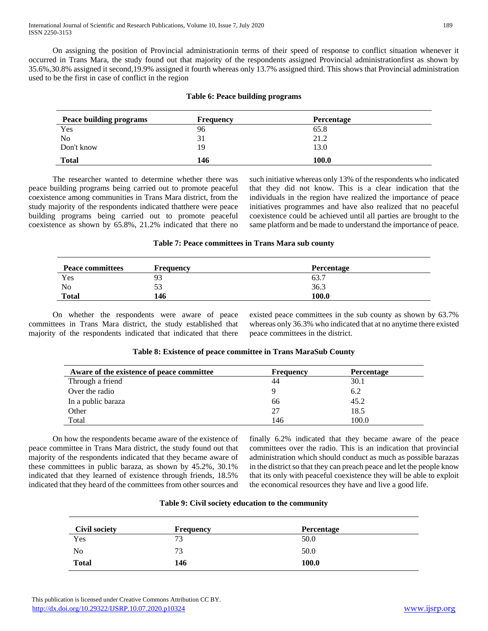On assigning the position of Provincial administrationin terms of their speed of response to conflict situation whenever it occurred in Trans Mara, the study found out that majority of the respondents assigned Provincial administrationfirst as shown by 35.6%,30.8% assigned it second,19.9% assigned it fourth whereas only 13.7% assigned third. This shows that Provincial administration used to be the first in case of conflict in the region

|  |  |  | Table 6: Peace building programs |
|--|--|--|----------------------------------|
|--|--|--|----------------------------------|

| <b>Peace building programs</b> | <b>Frequency</b> | <b>Percentage</b> |  |
|--------------------------------|------------------|-------------------|--|
| Yes                            | 96               | 65.8              |  |
| No                             | 31               | 21.2              |  |
| Don't know                     | 19               | 13.0              |  |
| <b>Total</b>                   | 146              | 100.0             |  |

 The researcher wanted to determine whether there was peace building programs being carried out to promote peaceful coexistence among communities in Trans Mara district, from the study majority of the respondents indicated thatthere were peace building programs being carried out to promote peaceful coexistence as shown by 65.8%, 21.2% indicated that there no such initiative whereas only 13% of the respondents who indicated that they did not know. This is a clear indication that the individuals in the region have realized the importance of peace initiatives programmes and have also realized that no peaceful coexistence could be achieved until all parties are brought to the same platform and be made to understand the importance of peace.

# **Table 7: Peace committees in Trans Mara sub county**

| <b>Peace committees</b> | <b>Frequency</b> | <b>Percentage</b> |
|-------------------------|------------------|-------------------|
| Yes                     | 93               | 63.7              |
| No                      | 53               | 36.3              |
| <b>Total</b>            | 146              | 100.0             |

 On whether the respondents were aware of peace committees in Trans Mara district, the study established that majority of the respondents indicated that indicated that there existed peace committees in the sub county as shown by 63.7% whereas only 36.3% who indicated that at no anytime there existed peace committees in the district.

| Table 8: Existence of peace committee in Trans MaraSub County |  |  |  |
|---------------------------------------------------------------|--|--|--|
|---------------------------------------------------------------|--|--|--|

| Aware of the existence of peace committee | <b>Frequency</b> | <b>Percentage</b> |
|-------------------------------------------|------------------|-------------------|
| Through a friend                          | 44               | 30.1              |
| Over the radio                            |                  | 6.2               |
| In a public baraza                        | 66               | 45.2              |
| Other                                     | 27               | 18.5              |
| Total                                     | 146              | 100.0             |

 On how the respondents became aware of the existence of peace committee in Trans Mara district, the study found out that majority of the respondents indicated that they became aware of these committees in public baraza, as shown by 45.2%, 30.1% indicated that they learned of existence through friends, 18.5% indicated that they heard of the committees from other sources and

finally 6.2% indicated that they became aware of the peace committees over the radio. This is an indication that provincial administration which should conduct as much as possible barazas in the district so that they can preach peace and let the people know that its only with peaceful coexistence they will be able to exploit the economical resources they have and live a good life.

| <b>Civil society</b> | <b>Frequency</b> | Percentage |  |
|----------------------|------------------|------------|--|
| Yes                  | 73               | 50.0       |  |
| N <sub>0</sub>       | 73               | 50.0       |  |
| <b>Total</b>         | 146              | 100.0      |  |

# **Table 9: Civil society education to the community**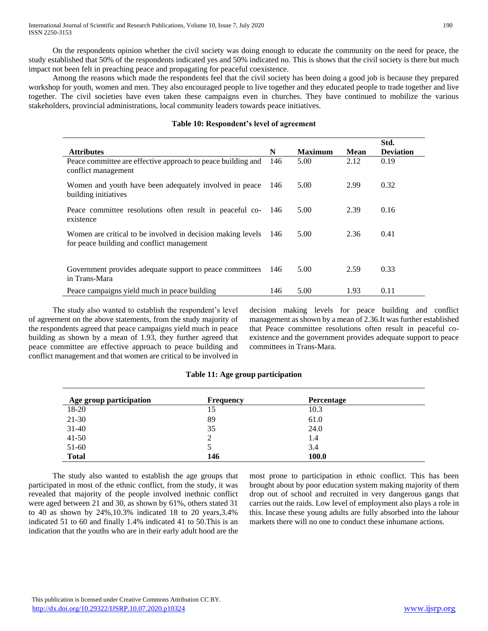On the respondents opinion whether the civil society was doing enough to educate the community on the need for peace, the study established that 50% of the respondents indicated yes and 50% indicated no. This is shows that the civil society is there but much impact not been felt in preaching peace and propagating for peaceful coexistence.

 Among the reasons which made the respondents feel that the civil society has been doing a good job is because they prepared workshop for youth, women and men. They also encouraged people to live together and they educated people to trade together and live together. The civil societies have even taken these campaigns even in churches. They have continued to mobilize the various stakeholders, provincial administrations, local community leaders towards peace initiatives.

|                                                                                                           |     |                |      | Std.             |
|-----------------------------------------------------------------------------------------------------------|-----|----------------|------|------------------|
| <b>Attributes</b>                                                                                         | N   | <b>Maximum</b> | Mean | <b>Deviation</b> |
| Peace committee are effective approach to peace building and<br>conflict management                       | 146 | 5.00           | 2.12 | 0.19             |
| Women and youth have been adequately involved in peace<br>building initiatives                            | 146 | 5.00           | 2.99 | 0.32             |
| Peace committee resolutions often result in peaceful co-<br>existence                                     | 146 | 5.00           | 2.39 | 0.16             |
| Women are critical to be involved in decision making levels<br>for peace building and conflict management | 146 | 5.00           | 2.36 | 0.41             |
|                                                                                                           |     |                |      |                  |
| Government provides adequate support to peace committees<br>in Trans-Mara                                 | 146 | 5.00           | 2.59 | 0.33             |
| Peace campaigns yield much in peace building                                                              | 146 | 5.00           | 1.93 | 0.11             |

# **Table 10: Respondent's level of agreement**

 The study also wanted to establish the respondent's level of agreement on the above statements, from the study majority of the respondents agreed that peace campaigns yield much in peace building as shown by a mean of 1.93, they further agreed that peace committee are effective approach to peace building and conflict management and that women are critical to be involved in decision making levels for peace building and conflict management as shown by a mean of 2.36.It was further established that Peace committee resolutions often result in peaceful coexistence and the government provides adequate support to peace committees in Trans-Mara.

| Age group participation | <b>Frequency</b> | Percentage |  |
|-------------------------|------------------|------------|--|
| 18-20                   | 15               | 10.3       |  |
| $21-30$                 | 89               | 61.0       |  |
| $31 - 40$               | 35               | 24.0       |  |
| $41 - 50$               | 2                | 1.4        |  |
| $51-60$                 |                  | 3.4        |  |
| <b>Total</b>            | 146              | 100.0      |  |

# **Table 11: Age group participation**

 The study also wanted to establish the age groups that participated in most of the ethnic conflict, from the study, it was revealed that majority of the people involved inethnic conflict were aged between 21 and 30, as shown by 61%, others stated 31 to 40 as shown by 24%,10.3% indicated 18 to 20 years,3.4% indicated 51 to 60 and finally 1.4% indicated 41 to 50.This is an indication that the youths who are in their early adult hood are the

most prone to participation in ethnic conflict. This has been brought about by poor education system making majority of them drop out of school and recruited in very dangerous gangs that carries out the raids. Low level of employment also plays a role in this. Incase these young adults are fully absorbed into the labour markets there will no one to conduct these inhumane actions.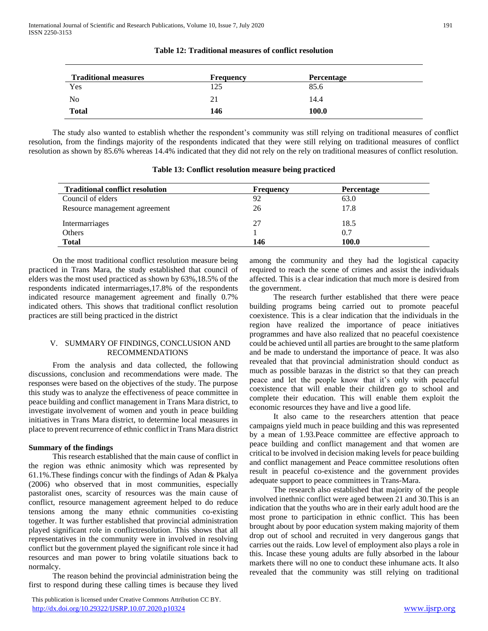| <b>Traditional measures</b> | <b>Frequency</b> | Percentage |  |
|-----------------------------|------------------|------------|--|
| Yes                         | 125              | 85.6       |  |
| N <sub>0</sub>              | 21               | 14.4       |  |
| <b>Total</b>                | 146              | 100.0      |  |

#### **Table 12: Traditional measures of conflict resolution**

 The study also wanted to establish whether the respondent's community was still relying on traditional measures of conflict resolution, from the findings majority of the respondents indicated that they were still relying on traditional measures of conflict resolution as shown by 85.6% whereas 14.4% indicated that they did not rely on the rely on traditional measures of conflict resolution.

| Table 13: Conflict resolution measure being practiced                                                                                                                                                                       |  |
|-----------------------------------------------------------------------------------------------------------------------------------------------------------------------------------------------------------------------------|--|
| from the findings majority of the respondents indicated that they were still relying on traditional measure-<br>s shown by 85.6% whereas 14.4% indicated that they did not rely on the rely on traditional measures of cont |  |
| study also wanted to establish whether the respondent's community was still relying on traditional measu                                                                                                                    |  |

| Table 13: Conflict resolution measure being practiced |  |  |  |  |
|-------------------------------------------------------|--|--|--|--|
|-------------------------------------------------------|--|--|--|--|

| <b>Traditional conflict resolution</b> | <b>Frequency</b> | <b>Percentage</b> |
|----------------------------------------|------------------|-------------------|
| Council of elders                      | 92               | 63.0              |
| Resource management agreement          | 26               | 17.8              |
| Intermarriages                         | 27               | 18.5              |
| Others                                 |                  | 0.7               |
| <b>Total</b>                           | 146              | 100.0             |

 On the most traditional conflict resolution measure being practiced in Trans Mara, the study established that council of elders was the most used practiced as shown by 63%,18.5% of the respondents indicated intermarriages,17.8% of the respondents indicated resource management agreement and finally 0.7% indicated others. This shows that traditional conflict resolution practices are still being practiced in the district

# V. SUMMARY OF FINDINGS, CONCLUSION AND RECOMMENDATIONS

 From the analysis and data collected, the following discussions, conclusion and recommendations were made. The responses were based on the objectives of the study. The purpose this study was to analyze the effectiveness of peace committee in peace building and conflict management in Trans Mara district, to investigate involvement of women and youth in peace building initiatives in Trans Mara district, to determine local measures in place to prevent recurrence of ethnic conflict in Trans Mara district

# **Summary of the findings**

 This research established that the main cause of conflict in the region was ethnic animosity which was represented by 61.1%.These findings concur with the findings of Adan & Pkalya (2006) who observed that in most communities, especially pastoralist ones, scarcity of resources was the main cause of conflict, resource management agreement helped to do reduce tensions among the many ethnic communities co-existing together. It was further established that provincial administration played significant role in conflictresolution. This shows that all representatives in the community were in involved in resolving conflict but the government played the significant role since it had resources and man power to bring volatile situations back to normalcy.

 The reason behind the provincial administration being the first to respond during these calling times is because they lived

 This publication is licensed under Creative Commons Attribution CC BY. <http://dx.doi.org/10.29322/IJSRP.10.07.2020.p10324> [www.ijsrp.org](http://ijsrp.org/)

among the community and they had the logistical capacity required to reach the scene of crimes and assist the individuals affected. This is a clear indication that much more is desired from the government.

 The research further established that there were peace building programs being carried out to promote peaceful coexistence. This is a clear indication that the individuals in the region have realized the importance of peace initiatives programmes and have also realized that no peaceful coexistence could be achieved until all parties are brought to the same platform and be made to understand the importance of peace. It was also revealed that that provincial administration should conduct as much as possible barazas in the district so that they can preach peace and let the people know that it's only with peaceful coexistence that will enable their children go to school and complete their education. This will enable them exploit the economic resources they have and live a good life.

 It also came to the researchers attention that peace campaigns yield much in peace building and this was represented by a mean of 1.93.Peace committee are effective approach to peace building and conflict management and that women are critical to be involved in decision making levels for peace building and conflict management and Peace committee resolutions often result in peaceful co-existence and the government provides adequate support to peace committees in Trans-Mara.

 The research also established that majority of the people involved inethnic conflict were aged between 21 and 30.This is an indication that the youths who are in their early adult hood are the most prone to participation in ethnic conflict. This has been brought about by poor education system making majority of them drop out of school and recruited in very dangerous gangs that carries out the raids. Low level of employment also plays a role in this. Incase these young adults are fully absorbed in the labour markets there will no one to conduct these inhumane acts. It also revealed that the community was still relying on traditional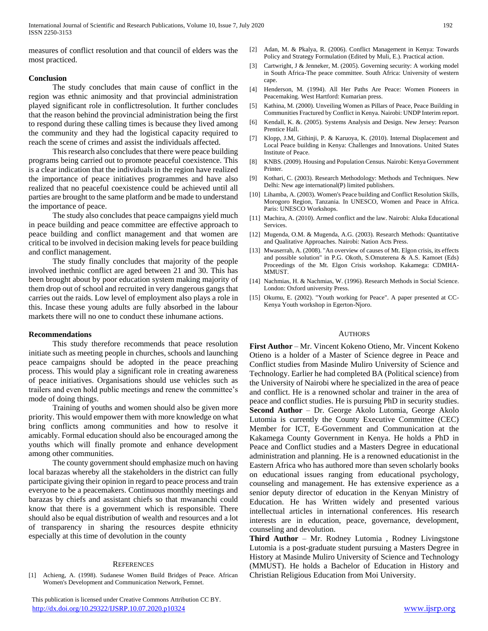measures of conflict resolution and that council of elders was the most practiced.

# **Conclusion**

 The study concludes that main cause of conflict in the region was ethnic animosity and that provincial administration played significant role in conflictresolution. It further concludes that the reason behind the provincial administration being the first to respond during these calling times is because they lived among the community and they had the logistical capacity required to reach the scene of crimes and assist the individuals affected.

 This research also concludes that there were peace building programs being carried out to promote peaceful coexistence. This is a clear indication that the individuals in the region have realized the importance of peace initiatives programmes and have also realized that no peaceful coexistence could be achieved until all parties are brought to the same platform and be made to understand the importance of peace.

 The study also concludes that peace campaigns yield much in peace building and peace committee are effective approach to peace building and conflict management and that women are critical to be involved in decision making levels for peace building and conflict management.

 The study finally concludes that majority of the people involved inethnic conflict are aged between 21 and 30. This has been brought about by poor education system making majority of them drop out of school and recruited in very dangerous gangs that carries out the raids. Low level of employment also plays a role in this. Incase these young adults are fully absorbed in the labour markets there will no one to conduct these inhumane actions.

#### **Recommendations**

 This study therefore recommends that peace resolution initiate such as meeting people in churches, schools and launching peace campaigns should be adopted in the peace preaching process. This would play a significant role in creating awareness of peace initiatives. Organisations should use vehicles such as trailers and even hold public meetings and renew the committee's mode of doing things.

 Training of youths and women should also be given more priority. This would empower them with more knowledge on what bring conflicts among communities and how to resolve it amicably. Formal education should also be encouraged among the youths which will finally promote and enhance development among other communities.

 The county government should emphasize much on having local barazas whereby all the stakeholders in the district can fully participate giving their opinion in regard to peace process and train everyone to be a peacemakers. Continuous monthly meetings and barazas by chiefs and assistant chiefs so that mwananchi could know that there is a government which is responsible. There should also be equal distribution of wealth and resources and a lot of transparency in sharing the resources despite ethnicity especially at this time of devolution in the county

# **REFERENCES**

[1] Achieng, A. (1998). Sudanese Women Build Bridges of Peace. African Women's Development and Communication Network, Femnet.

- [2] Adan, M. & Pkalya, R. (2006). Conflict Management in Kenya: Towards Policy and Strategy Formulation (Edited by Muli, E.). Practical action.
- [3] Cartwright, J & Jenneker, M. (2005). Governing security: A working model in South Africa-The peace committee. South Africa: University of western cape.
- [4] Henderson, M. (1994). All Her Paths Are Peace: Women Pioneers in Peacemaking. West Hartford: Kumarian press.
- [5] Kathina, M. (2000). Unveiling Women as Pillars of Peace, Peace Building in Communities Fractured by Conflict in Kenya. Nairobi: UNDP Interim report.
- [6] Kendall, K. &. (2005). Systems Analysis and Design. New Jersey: Pearson Prentice Hall.
- [7] Klopp, J.M, Githinji, P. & Karuoya, K. (2010). Internal Displacement and Local Peace building in Kenya: Challenges and Innovations. United States Institute of Peace.
- [8] KNBS. (2009). Housing and Population Census. Nairobi: Kenya Government Printer.
- [9] Kothari, C. (2003). Research Methodology: Methods and Techniques. New Delhi: New age international(P) limited publishers.
- [10] Lihamba, A. (2003). Women's Peace building and Conflict Resolution Skills, Morogoro Region, Tanzania. In UNESCO, Women and Peace in Africa. Paris: UNESCO Workshops.
- [11] Machira, A. (2010). Armed conflict and the law. Nairobi: Aluka Educational Services.
- [12] Mugenda, O.M. & Mugenda, A.G. (2003). Research Methods: Quantitative and Qualitative Approaches. Nairobi: Nation Acts Press.
- [13] Mwaserrah, A. (2008). "An overview of causes of Mt. Elgon crisis, its effects and possible solution" in P.G. Okoth, S.Omuterena & A.S. Kamoet (Eds) Proceedings of the Mt. Elgon Crisis workshop. Kakamega: CDMHA-MMUST.
- [14] Nachmias, H. & Nachmias, W. (1996). Research Methods in Social Science. London: Oxford university Press.
- [15] Okumu, E. (2002). "Youth working for Peace". A paper presented at CC-Kenya Youth workshop in Egerton-Njoro.

#### AUTHORS

**First Author** – Mr. Vincent Kokeno Otieno, Mr. Vincent Kokeno Otieno is a holder of a Master of Science degree in Peace and Conflict studies from Masinde Muliro University of Science and Technology. Earlier he had completed BA (Political science) from the University of Nairobi where he specialized in the area of peace and conflict. He is a renowned scholar and trainer in the area of peace and conflict studies. He is pursuing PhD in security studies. **Second Author** – Dr. George Akolo Lutomia, George Akolo Lutomia is currently the County Executive Committee (CEC) Member for ICT, E-Government and Communication at the Kakamega County Government in Kenya. He holds a PhD in Peace and Conflict studies and a Masters Degree in educational administration and planning. He is a renowned educationist in the Eastern Africa who has authored more than seven scholarly books on educational issues ranging from educational psychology, counseling and management. He has extensive experience as a senior deputy director of education in the Kenyan Ministry of Education. He has Written widely and presented various intellectual articles in international conferences. His research interests are in education, peace, governance, development, counseling and devolution.

**Third Author** – Mr. Rodney Lutomia , Rodney Livingstone Lutomia is a post-graduate student pursuing a Masters Degree in History at Masinde Muliro University of Science and Technology (MMUST). He holds a Bachelor of Education in History and Christian Religious Education from Moi University.